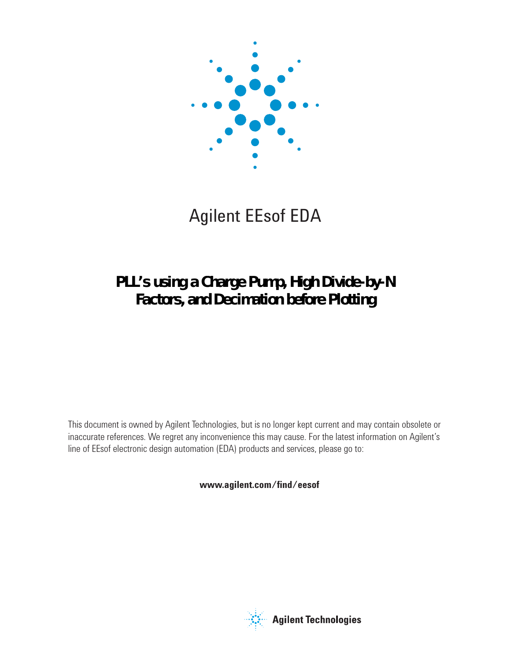

# Agilent EEsof EDA

# **PLL's using a Charge Pump, High Divide-by-N Factors, and Decimation before Plotting**

This document is owned by Agilent Technologies, but is no longer kept current and may contain obsolete or inaccurate references. We regret any inconvenience this may cause. For the latest information on Agilent's line of EEsof electronic design automation (EDA) products and services, please go to:

www.agilent.com/find/eesof



**Agilent Technologies**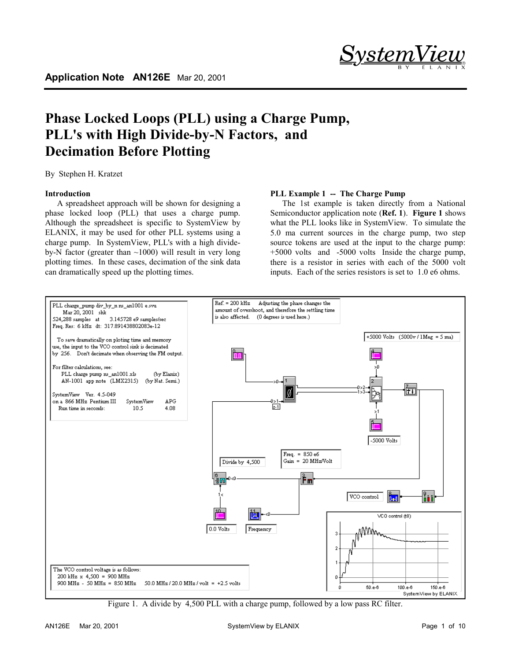

# **Phase Locked Loops (PLL) using a Charge Pump, PLL's with High Divide-by-N Factors, and Decimation Before Plotting**

By Stephen H. Kratzet

## **Introduction**

A spreadsheet approach will be shown for designing a phase locked loop (PLL) that uses a charge pump. Although the spreadsheet is specific to SystemView by ELANIX, it may be used for other PLL systems using a charge pump. In SystemView, PLL's with a high divideby-N factor (greater than  $\sim$ 1000) will result in very long plotting times. In these cases, decimation of the sink data can dramatically speed up the plotting times.

#### **PLL Example 1 -- The Charge Pump**

The 1st example is taken directly from a National Semiconductor application note (**Ref. 1**). **Figure 1** shows what the PLL looks like in SystemView. To simulate the 5.0 ma current sources in the charge pump, two step source tokens are used at the input to the charge pump: +5000 volts and -5000 volts Inside the charge pump, there is a resistor in series with each of the 5000 volt inputs. Each of the series resistors is set to 1.0 e6 ohms.



Figure 1. A divide by 4,500 PLL with a charge pump, followed by a low pass RC filter.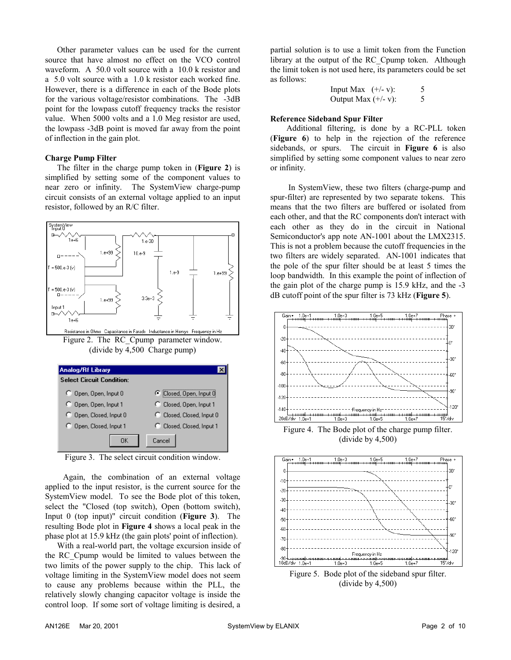Other parameter values can be used for the current source that have almost no effect on the VCO control waveform. A 50.0 volt source with a 10.0 k resistor and a 5.0 volt source with a 1.0 k resistor each worked fine. However, there is a difference in each of the Bode plots for the various voltage/resistor combinations. The -3dB point for the lowpass cutoff frequency tracks the resistor value. When 5000 volts and a 1.0 Meg resistor are used, the lowpass -3dB point is moved far away from the point of inflection in the gain plot.

#### **Charge Pump Filter**

The filter in the charge pump token in (**Figure 2**) is simplified by setting some of the component values to near zero or infinity. The SystemView charge-pump circuit consists of an external voltage applied to an input resistor, followed by an R/C filter.



Figure 3. The select circuit condition window.

Again, the combination of an external voltage applied to the input resistor, is the current source for the SystemView model. To see the Bode plot of this token, select the "Closed (top switch), Open (bottom switch), Input 0 (top input)" circuit condition (**Figure 3**). The resulting Bode plot in **Figure 4** shows a local peak in the phase plot at 15.9 kHz (the gain plots' point of inflection).

With a real-world part, the voltage excursion inside of the RC\_Cpump would be limited to values between the two limits of the power supply to the chip. This lack of voltage limiting in the SystemView model does not seem to cause any problems because within the PLL, the relatively slowly changing capacitor voltage is inside the control loop. If some sort of voltage limiting is desired, a

partial solution is to use a limit token from the Function library at the output of the RC\_Cpump token. Although the limit token is not used here, its parameters could be set as follows:

| Input Max $(+/- v)$ :  |  |
|------------------------|--|
| Output Max $(+/- v)$ : |  |

#### **Reference Sideband Spur Filter**

 Additional filtering, is done by a RC-PLL token (**Figure 6**) to help in the rejection of the reference sidebands, or spurs. The circuit in **Figure 6** is also simplified by setting some component values to near zero or infinity.

In SystemView, these two filters (charge-pump and spur-filter) are represented by two separate tokens. This means that the two filters are buffered or isolated from each other, and that the RC components don't interact with each other as they do in the circuit in National Semiconductor's app note AN-1001 about the LMX2315. This is not a problem because the cutoff frequencies in the two filters are widely separated. AN-1001 indicates that the pole of the spur filter should be at least 5 times the loop bandwidth. In this example the point of inflection of the gain plot of the charge pump is 15.9 kHz, and the -3 dB cutoff point of the spur filter is 73 kHz (**Figure 5**).



Figure 4. The Bode plot of the charge pump filter. (divide by 4,500)



Figure 5. Bode plot of the sideband spur filter. (divide by 4,500)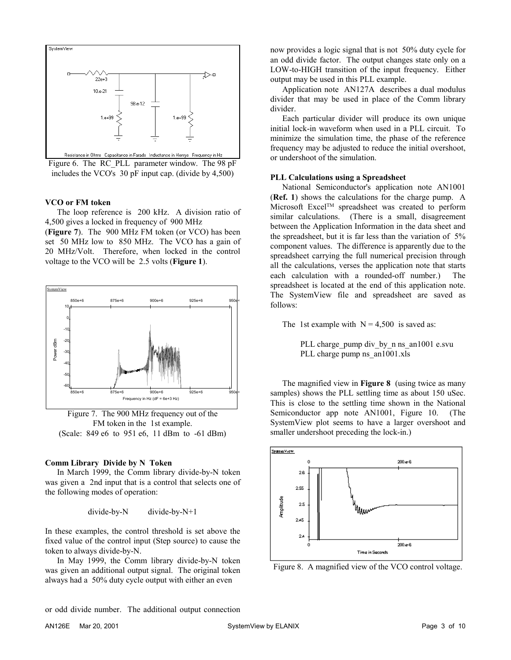

Figure 6. The RC\_PLL parameter window. The 98 pF includes the VCO's 30 pF input cap. (divide by 4,500)

#### **VCO or FM token**

The loop reference is 200 kHz. A division ratio of 4,500 gives a locked in frequency of 900 MHz

(**Figure 7**). The 900 MHz FM token (or VCO) has been set 50 MHz low to 850 MHz. The VCO has a gain of 20 MHz/Volt. Therefore, when locked in the control voltage to the VCO will be 2.5 volts (**Figure 1**).



Figure 7. The 900 MHz frequency out of the FM token in the 1st example. (Scale: 849 e6 to 951 e6, 11 dBm to -61 dBm)

#### **Comm Library Divide by N Token**

In March 1999, the Comm library divide-by-N token was given a 2nd input that is a control that selects one of the following modes of operation:

```
divide-by-N divide-by-N+1
```
In these examples, the control threshold is set above the fixed value of the control input (Step source) to cause the token to always divide-by-N.

In May 1999, the Comm library divide-by-N token was given an additional output signal. The original token always had a 50% duty cycle output with either an even

now provides a logic signal that is not 50% duty cycle for an odd divide factor. The output changes state only on a LOW-to-HIGH transition of the input frequency. Either output may be used in this PLL example.

Application note AN127A describes a dual modulus divider that may be used in place of the Comm library divider.

Each particular divider will produce its own unique initial lock-in waveform when used in a PLL circuit. To minimize the simulation time, the phase of the reference frequency may be adjusted to reduce the initial overshoot, or undershoot of the simulation.

#### **PLL Calculations using a Spreadsheet**

National Semiconductor's application note AN1001 (**Ref. 1**) shows the calculations for the charge pump. A Microsoft Excel<sup>TM</sup> spreadsheet was created to perform similar calculations. (There is a small, disagreement between the Application Information in the data sheet and the spreadsheet, but it is far less than the variation of 5% component values. The difference is apparently due to the spreadsheet carrying the full numerical precision through all the calculations, verses the application note that starts each calculation with a rounded-off number.) The spreadsheet is located at the end of this application note. The SystemView file and spreadsheet are saved as follows:

The 1st example with  $N = 4,500$  is saved as:

PLL charge pump div by n ns\_an1001 e.svu PLL charge pump ns\_an1001.xls

The magnified view in **Figure 8** (using twice as many samples) shows the PLL settling time as about 150 uSec. This is close to the settling time shown in the National Semiconductor app note AN1001, Figure 10. (The SystemView plot seems to have a larger overshoot and smaller undershoot preceding the lock-in.)



Figure 8. A magnified view of the VCO control voltage.

or odd divide number. The additional output connection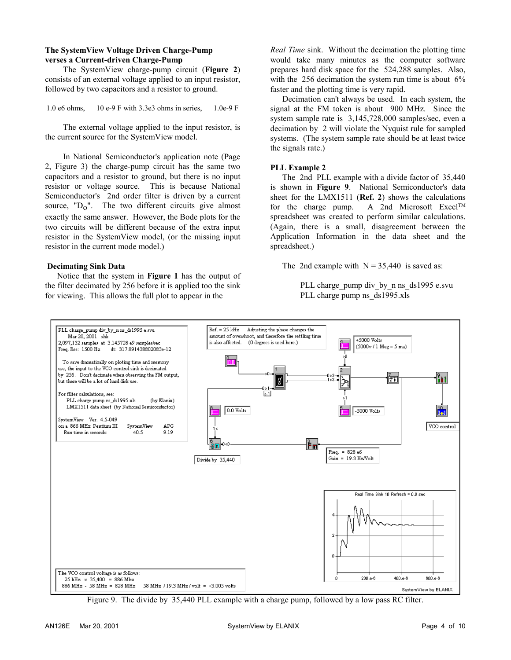#### **The SystemView Voltage Driven Charge-Pump verses a Current-driven Charge-Pump**

The SystemView charge-pump circuit (**Figure 2**) consists of an external voltage applied to an input resistor, followed by two capacitors and a resistor to ground.

1.0 e6 ohms, 10 e-9 F with 3.3e3 ohms in series, 1.0e-9 F

The external voltage applied to the input resistor, is the current source for the SystemView model.

In National Semiconductor's application note (Page 2, Figure 3) the charge-pump circuit has the same two capacitors and a resistor to ground, but there is no input resistor or voltage source. This is because National Semiconductor's 2nd order filter is driven by a current source,  $"D<sub>0</sub>"$ . The two different circuits give almost exactly the same answer. However, the Bode plots for the two circuits will be different because of the extra input resistor in the SystemView model, (or the missing input resistor in the current mode model.)

#### **Decimating Sink Data**

Notice that the system in **Figure 1** has the output of the filter decimated by 256 before it is applied too the sink for viewing. This allows the full plot to appear in the

*Real Time* sink. Without the decimation the plotting time would take many minutes as the computer software prepares hard disk space for the 524,288 samples. Also, with the 256 decimation the system run time is about 6% faster and the plotting time is very rapid.

Decimation can't always be used. In each system, the signal at the FM token is about 900 MHz. Since the system sample rate is 3,145,728,000 samples/sec, even a decimation by 2 will violate the Nyquist rule for sampled systems. (The system sample rate should be at least twice the signals rate.)

#### **PLL Example 2**

The 2nd PLL example with a divide factor of 35,440 is shown in **Figure 9**. National Semiconductor's data sheet for the LMX1511 (**Ref. 2**) shows the calculations for the charge pump. A 2nd Microsoft Excel<sup>TM</sup> spreadsheet was created to perform similar calculations. (Again, there is a small, disagreement between the Application Information in the data sheet and the spreadsheet.)

The 2nd example with  $N = 35,440$  is saved as:

PLL charge pump div by n ns\_ds1995 e.svu PLL charge pump ns\_ds1995.xls



Figure 9. The divide by 35,440 PLL example with a charge pump, followed by a low pass RC filter.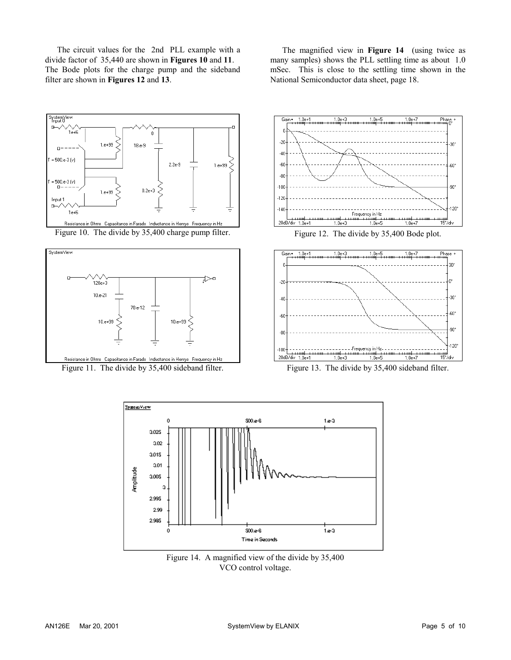The circuit values for the 2nd PLL example with a divide factor of 35,440 are shown in **Figures 10** and **11**. The Bode plots for the charge pump and the sideband filter are shown in **Figures 12** and **13**.

The magnified view in **Figure 14** (using twice as many samples) shows the PLL settling time as about 1.0 mSec. This is close to the settling time shown in the National Semiconductor data sheet, page 18.











Figure 13. The divide by 35,400 sideband filter.



Figure 14. A magnified view of the divide by 35,400 VCO control voltage.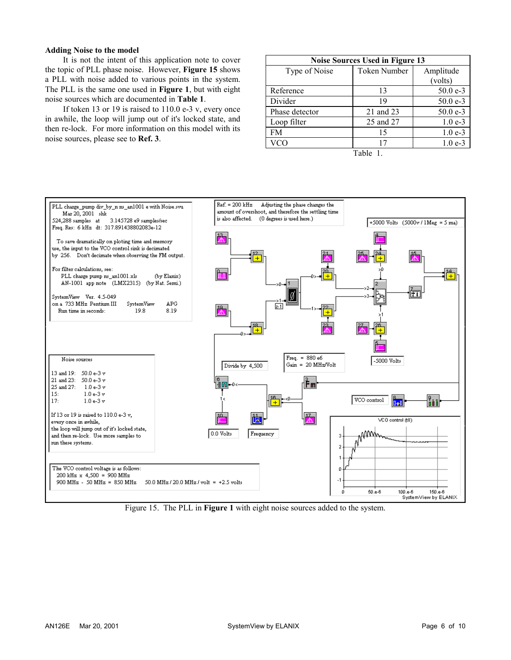#### **Adding Noise to the model**

It is not the intent of this application note to cover the topic of PLL phase noise. However, **Figure 15** shows a PLL with noise added to various points in the system. The PLL is the same one used in **Figure 1**, but with eight noise sources which are documented in **Table 1**.

If token 13 or 19 is raised to  $110.0$  e-3 v, every once in awhile, the loop will jump out of it's locked state, and then re-lock. For more information on this model with its noise sources, please see to **Ref. 3**.

| Noise Sources Used in Figure 13 |              |            |
|---------------------------------|--------------|------------|
| Type of Noise                   | Token Number | Amplitude  |
|                                 |              | (volts)    |
| Reference                       | 13           | $50.0 e-3$ |
| Divider                         | 19           | $50.0 e-3$ |
| Phase detector                  | 21 and 23    | $50.0 e-3$ |
| Loop filter                     | 25 and 27    | $1.0e-3$   |
| <b>FM</b>                       | 15           | $1.0e-3$   |
| <b>VCO</b>                      | 17           | $1.0e-3$   |
|                                 |              |            |

Table 1.



Figure 15. The PLL in **Figure 1** with eight noise sources added to the system.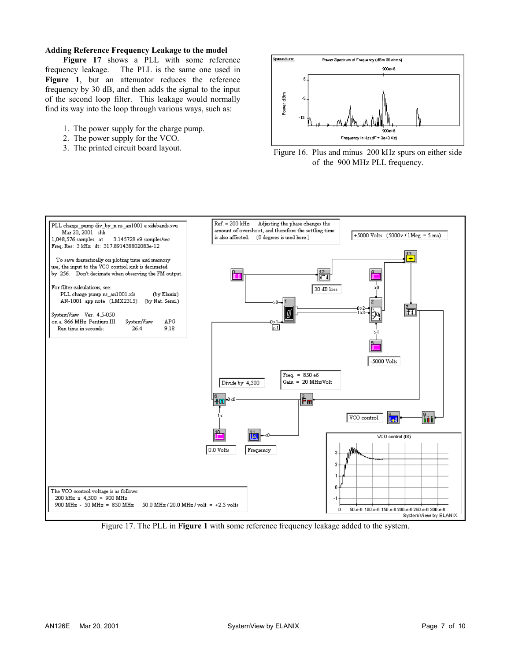#### **Adding Reference Frequency Leakage to the model**

**Figure 17** shows a PLL with some reference frequency leakage. The PLL is the same one used in Figure 1, but an attenuator reduces the reference frequency by 30 dB, and then adds the signal to the input of the second loop filter. This leakage would normally find its way into the loop through various ways, such as:

- 1. The power supply for the charge pump.
- 2. The power supply for the VCO.
- 







Figure 17. The PLL in **Figure 1** with some reference frequency leakage added to the system.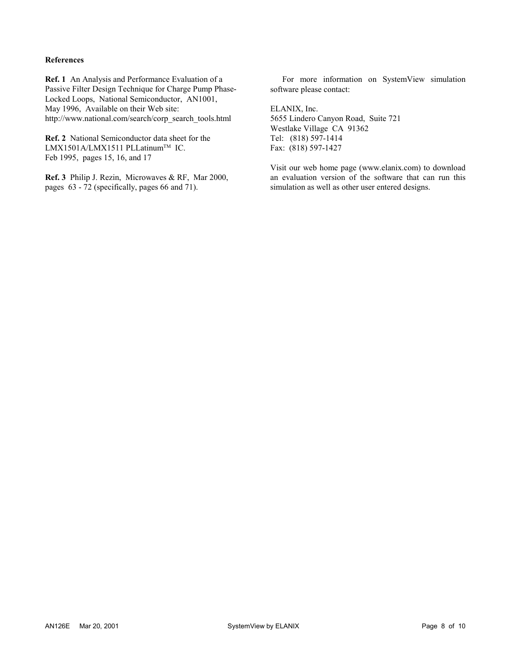#### **References**

**Ref. 1** An Analysis and Performance Evaluation of a Passive Filter Design Technique for Charge Pump Phase-Locked Loops, National Semiconductor, AN1001, May 1996, Available on their Web site: http://www.national.com/search/corp\_search\_tools.html

**Ref. 2** National Semiconductor data sheet for the LMX1501A/LMX1511 PLLatinum™ IC. Feb 1995, pages 15, 16, and 17

**Ref. 3** Philip J. Rezin, Microwaves & RF, Mar 2000, pages 63 - 72 (specifically, pages 66 and 71).

For more information on SystemView simulation software please contact:

ELANIX, Inc. 5655 Lindero Canyon Road, Suite 721 Westlake Village CA 91362 Tel: (818) 597-1414 Fax: (818) 597-1427

Visit our web home page (www.elanix.com) to download an evaluation version of the software that can run this simulation as well as other user entered designs.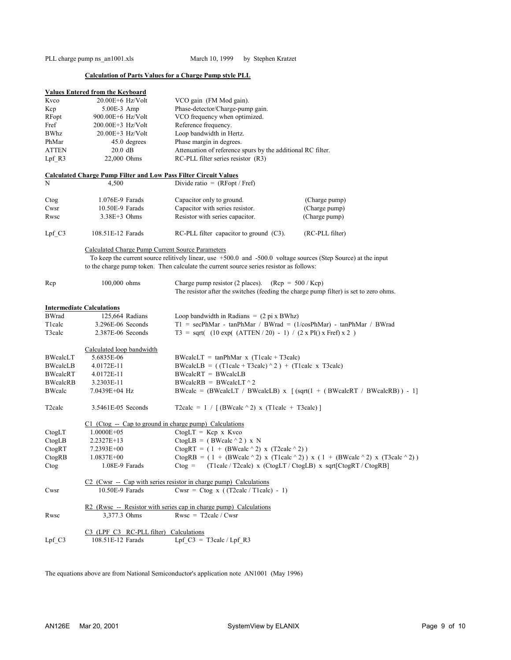PLL charge pump ns\_an1001.xls March 10, 1999 by Stephen Kratzet

## **Calculation of Parts Values for a Charge Pump style PLL**

|                 | <b>Values Entered from the Keyboard</b>                                 |                                                                                                                                                |                 |
|-----------------|-------------------------------------------------------------------------|------------------------------------------------------------------------------------------------------------------------------------------------|-----------------|
| Kvco            | $20.00E + 6$ Hz/Volt                                                    | VCO gain (FM Mod gain).                                                                                                                        |                 |
| Kcp             | 5.00E-3 Amp                                                             | Phase-detector/Charge-pump gain.                                                                                                               |                 |
| RFopt           | 900.00E+6 Hz/Volt                                                       | VCO frequency when optimized.                                                                                                                  |                 |
| Fref            | $200.00E + 3$ Hz/Volt                                                   | Reference frequency.                                                                                                                           |                 |
| <b>BWhz</b>     | 20.00E+3 Hz/Volt                                                        | Loop bandwidth in Hertz.                                                                                                                       |                 |
| PhMar           | 45.0 degrees                                                            | Phase margin in degrees.                                                                                                                       |                 |
| <b>ATTEN</b>    | $20.0$ dB                                                               | Attenuation of reference spurs by the additional RC filter.                                                                                    |                 |
| Lpf R3          | 22,000 Ohms                                                             | RC-PLL filter series resistor (R3)                                                                                                             |                 |
|                 | <b>Calculated Charge Pump Filter and Low Pass Filter Circuit Values</b> |                                                                                                                                                |                 |
| N               | 4,500                                                                   | Divide ratio = $(RFopt / Fref)$                                                                                                                |                 |
| Ctog            | 1.076E-9 Farads                                                         | Capacitor only to ground.                                                                                                                      | (Charge pump)   |
| Cwsr            | $10.50E-9$ Farads                                                       | Capacitor with series resistor.                                                                                                                | (Charge pump)   |
| Rwsc            | $3.38E+3$ Ohms                                                          | Resistor with series capacitor.                                                                                                                | (Charge pump)   |
| $Lpf_C3$        | 108.51E-12 Farads                                                       | $RC-PLL$ filter capacitor to ground $(C3)$ .                                                                                                   | (RC-PLL filter) |
|                 | Calculated Charge Pump Current Source Parameters                        |                                                                                                                                                |                 |
|                 |                                                                         | To keep the current source relitively linear, use $+500.0$ and $-500.0$ voltage sources (Step Source) at the input                             |                 |
|                 |                                                                         | to the charge pump token. Then calculate the current source series resistor as follows:                                                        |                 |
| Rcp             | 100,000 ohms                                                            | Charge pump resistor (2 places). (Rcp = $500 / Kcp$ )<br>The resistor after the switches (feeding the charge pump filter) is set to zero ohms. |                 |
|                 | <b>Intermediate Calculations</b>                                        |                                                                                                                                                |                 |
| <b>BWrad</b>    | 125,664 Radians                                                         | Loop bandwidth in Radians = $(2 \pi x BWhz)$                                                                                                   |                 |
| T1calc          | 3.296E-06 Seconds                                                       | $T1 = \text{secPhMar} - \text{tanPhMar} / \text{BWrad} = (1/\text{cosPhMar}) - \text{tanPhMar} / \text{BWrad}$                                 |                 |
| T3calc          | $2.387E-06$ Seconds                                                     | $T3 = sqrt(10 exp((ATTEN / 20) - 1) / (2 x PI)(x Fref) x 2)$                                                                                   |                 |
|                 | Calculated loop bandwidth                                               |                                                                                                                                                |                 |
| BWcalcLT        | 5.6835E-06                                                              | $BWcalcLT = tanPhMar x (Tlealc + T3calc)$                                                                                                      |                 |
| <b>BWcalcLB</b> | 4.0172E-11                                                              | BWcalcLB = $((Tlealc + T3calc) \land 2) + (Tlealc x T3calc)$                                                                                   |                 |
| BWcalcRT        | 4.0172E-11                                                              | $BWcaleRT = BWcaleLB$                                                                                                                          |                 |
| <b>BWcalcRB</b> | 3.2303E-11                                                              | $BWcaleRB = BWcaleLT ^ 2$                                                                                                                      |                 |
| BWcalc          | 7.0439E+04 Hz                                                           | BWcalc = (BWcalcLT / BWcalcLB) x $\left[ \text{(sqrt1 + (BWcaleRT / BWcaleRB)) - 1} \right]$                                                   |                 |
| T2calc          | 3.5461E-05 Seconds                                                      | T2calc = $1 / [$ (BWcalc $\wedge$ 2) x (T1calc + T3calc)]                                                                                      |                 |
|                 | $C1$ (Ctog -- Cap to ground in charge pump) Calculations                |                                                                                                                                                |                 |
| CtogLT          | 1.0000E+05                                                              | $CtogLT = Kcp \times Kvco$                                                                                                                     |                 |
| CtogLB          | 2.2327E+13                                                              | CtogLB = $(BWcalc \land 2) \times N$                                                                                                           |                 |
| CtogRT          | 7.2393E+00                                                              | $C$ togRT = (1 + (BWcalc ^2) x (T2calc ^2))                                                                                                    |                 |
| CtogRB          | $1.0837E + 00$                                                          | CtogRB = $(1 + (BWeak^2) x (Tlealc^2)) x (1 + (BWeak^2) x (T3calc^2))$                                                                         |                 |
| Ctog            | 1.08E-9 Farads                                                          | $C$ tog =<br>$(Tlealc / T2calc)$ x $(CtogLT / CtogLB)$ x $sqrt(CtogRT / CtogRB)$                                                               |                 |
|                 |                                                                         | C <sub>2</sub> (Cwsr -- Cap with series resistor in charge pump) Calculations                                                                  |                 |
| Cwsr            | 10.50E-9 Farads                                                         | Cwsr = Ctog x ( $(T2calc / Tlealc) - 1$ )                                                                                                      |                 |
|                 |                                                                         | R2 (Rwsc -- Resistor with series cap in charge pump) Calculations                                                                              |                 |
| Rwsc            | 3,377.3 Ohms                                                            | $Rwsc = T2calc / Cwsr$                                                                                                                         |                 |
|                 | C3 (LPF C3 RC-PLL filter) Calculations                                  |                                                                                                                                                |                 |
| $Lpf_C3$        | 108.51E-12 Farads                                                       | Lpf $C3 = T3calc / Lpf R3$                                                                                                                     |                 |

The equations above are from National Semiconductor's application note AN1001 (May 1996)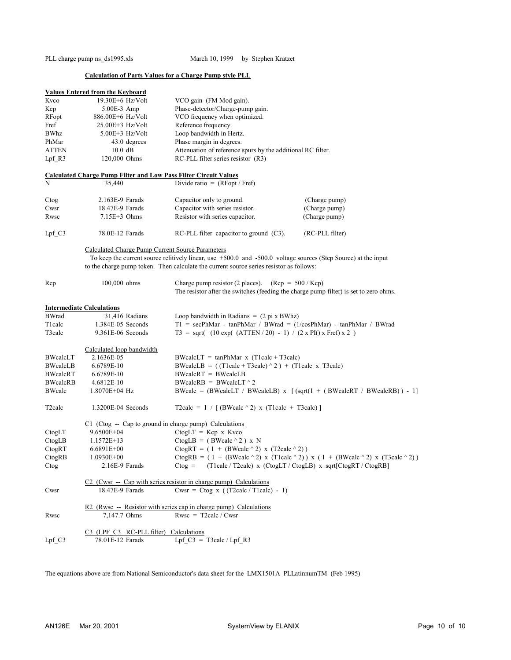PLL charge pump ns\_ds1995.xls March 10, 1999 by Stephen Kratzet

## **Calculation of Parts Values for a Charge Pump style PLL**

|                     | <b>Values Entered from the Keyboard</b>                                 |                                                                                                                |                 |
|---------------------|-------------------------------------------------------------------------|----------------------------------------------------------------------------------------------------------------|-----------------|
| Kvco                | $19.30E + 6$ Hz/Volt                                                    | VCO gain (FM Mod gain).                                                                                        |                 |
| Kcp                 | 5.00E-3 Amp                                                             | Phase-detector/Charge-pump gain.                                                                               |                 |
| RFopt               | 886.00E+6 Hz/Volt                                                       | VCO frequency when optimized.                                                                                  |                 |
| Fref                | $25.00E + 3$ Hz/Volt                                                    | Reference frequency.                                                                                           |                 |
| <b>BWhz</b>         | $5.00E + 3$ Hz/Volt                                                     | Loop bandwidth in Hertz.                                                                                       |                 |
| PhMar               | 43.0 degrees                                                            | Phase margin in degrees.                                                                                       |                 |
| <b>ATTEN</b>        | $10.0$ dB                                                               | Attenuation of reference spurs by the additional RC filter.                                                    |                 |
| Lpf R3              | 120,000 Ohms                                                            | RC-PLL filter series resistor (R3)                                                                             |                 |
|                     | <b>Calculated Charge Pump Filter and Low Pass Filter Circuit Values</b> |                                                                                                                |                 |
| N                   | 35,440                                                                  | Divide ratio = $(RFopt / Fref)$                                                                                |                 |
|                     |                                                                         |                                                                                                                |                 |
| Ctog                | $2.163E-9$ Farads                                                       | Capacitor only to ground.                                                                                      | (Charge pump)   |
| Cwsr                | 18.47E-9 Farads                                                         | Capacitor with series resistor.                                                                                | (Charge pump)   |
| Rwsc                | $7.15E+3$ Ohms                                                          | Resistor with series capacitor.                                                                                | (Charge pump)   |
|                     |                                                                         |                                                                                                                |                 |
| $Lpf_C3$            | 78.0E-12 Farads                                                         | $RC-PLL$ filter capacitor to ground $(C3)$ .                                                                   | (RC-PLL filter) |
|                     | Calculated Charge Pump Current Source Parameters                        |                                                                                                                |                 |
|                     |                                                                         | To keep the current source relitively linear, use +500.0 and -500.0 voltage sources (Step Source) at the input |                 |
|                     |                                                                         | to the charge pump token. Then calculate the current source series resistor as follows:                        |                 |
| Rcp                 | $100,000$ ohms                                                          | Charge pump resistor (2 places). $(Rep = 500 / Kcp)$                                                           |                 |
|                     |                                                                         | The resistor after the switches (feeding the charge pump filter) is set to zero ohms.                          |                 |
|                     |                                                                         |                                                                                                                |                 |
|                     | <b>Intermediate Calculations</b>                                        |                                                                                                                |                 |
| <b>BWrad</b>        | 31,416 Radians                                                          | Loop bandwidth in Radians = $(2 \pi x BWhz)$                                                                   |                 |
| T1calc              | 1.384E-05 Seconds                                                       | $T1 = secPhMar - tanPhMar / BWrad = (1/cosPhMar) - tanPhMar / BWrad$                                           |                 |
| T3calc              | $9.361E-06$ Seconds                                                     | $T3 = sqrt(10 exp((ATTEN / 20) - 1) / (2 x PI)(x Fref) x 2)$                                                   |                 |
|                     |                                                                         |                                                                                                                |                 |
|                     | Calculated loop bandwidth                                               |                                                                                                                |                 |
| BWcalcLT            | 2.1636E-05                                                              | $BWcaleLT = tanPhMar x (Tleale + T3cale)$                                                                      |                 |
| <b>BWcalcLB</b>     | 6.6789E-10                                                              | BWcalcLB = $((Tlealc + T3calc) \land 2) + (Tlealc x T3calc)$                                                   |                 |
| BWcalcRT            | 6.6789E-10                                                              | $BWcaleRT = BWcaleLB$                                                                                          |                 |
| <b>BWcalcRB</b>     | 4.6812E-10                                                              | $BWcaleRB = BWcaleLT ^ 2$                                                                                      |                 |
| BWcalc              | 1.8070E+04 Hz                                                           | BWcalc = (BWcalcLT / BWcalcLB) $x \left[ (sqrt1 + (BWcalcRT / BWcalcRB)) - 1 \right]$                          |                 |
|                     |                                                                         |                                                                                                                |                 |
| T <sub>2</sub> calc | 1.3200E-04 Seconds                                                      | T2calc = $1 / \left[ (BWcalc \land 2) \times (Tlealc) + T3calc \right]$                                        |                 |
|                     | $C1$ (Ctog -- Cap to ground in charge pump) Calculations                |                                                                                                                |                 |
| CtogLT              | 9.6500E+04                                                              | $CtogLT = Kcp x Kvco$                                                                                          |                 |
| CtogLB              | $1.1572E+13$                                                            | CtogLB = $(BWcalc \land 2) \times N$                                                                           |                 |
| CtogRT              | 6.6891E+00                                                              | CtogRT = $(1 + (BWcale^2) x (T2calc^2))$                                                                       |                 |
| CtogRB              | $1.0930E + 00$                                                          | CtogRB = $(1 + (BWeak^2) x (Tleale^2)) x (1 + (BWeak^2) x (T3cale^2))$                                         |                 |
|                     | 2.16E-9 Farads                                                          | $C$ tog =<br>(T1calc / T2calc) x (CtogLT / CtogLB) x sqrt[CtogRT / CtogRB]                                     |                 |
| Ctog                |                                                                         |                                                                                                                |                 |
|                     |                                                                         | $C2$ (Cwsr -- Cap with series resistor in charge pump) Calculations                                            |                 |
| Cwsr                | 18.47E-9 Farads                                                         | Cwsr = Ctog x ( $(T2calc / Tlealc) - 1$ )                                                                      |                 |
|                     |                                                                         |                                                                                                                |                 |
|                     |                                                                         | $R2$ (Rwsc - Resistor with series cap in charge pump) Calculations                                             |                 |
| Rwsc                | 7,147.7 Ohms                                                            | $Rwsc = T2calc / Cwsr$                                                                                         |                 |
|                     |                                                                         |                                                                                                                |                 |
|                     | C3 (LPF C3 RC-PLL filter) Calculations                                  |                                                                                                                |                 |
| $Lpf_C3$            | 78.01E-12 Farads                                                        | Lpf $C3 = T3calc / Lpf R3$                                                                                     |                 |
|                     |                                                                         |                                                                                                                |                 |

The equations above are from National Semiconductor's data sheet for the LMX1501A PLLatinnumTM (Feb 1995)